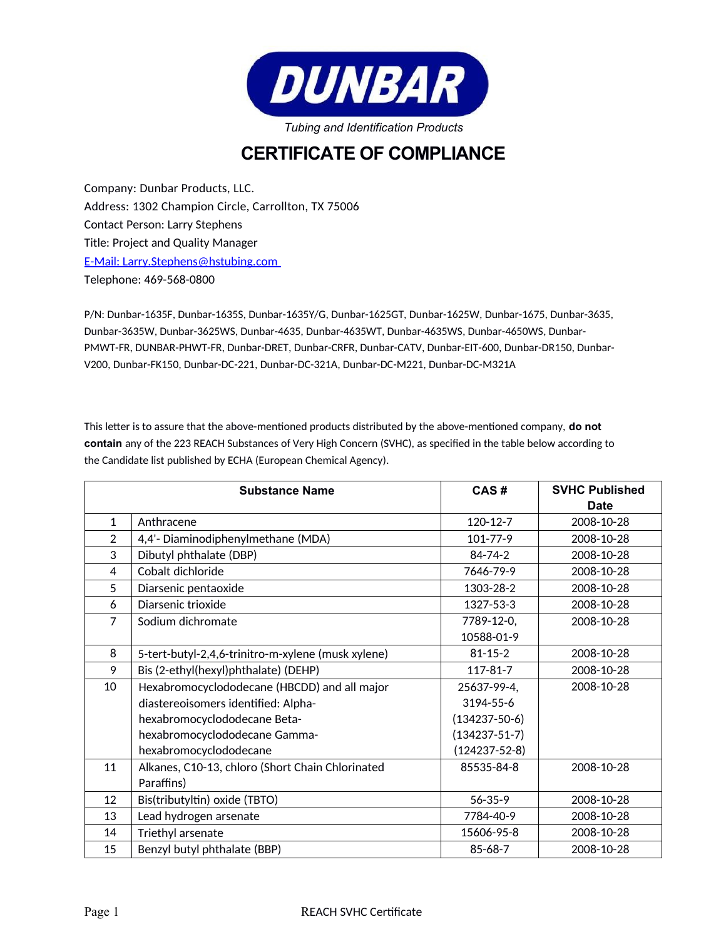

## **CERTIFICATE OF COMPLIANCE**

Company: Dunbar Products, LLC. Address: 1302 Champion Circle, Carrollton, TX 75006 Contact Person: Larry Stephens Title: Project and Quality Manager E-Mail: Larry.Stephens@hstubing.com Telephone: 469-568-0800

P/N: Dunbar-1635F, Dunbar-1635S, Dunbar-1635Y/G, Dunbar-1625GT, Dunbar-1625W, Dunbar-1675, Dunbar-3635, Dunbar-3635W, Dunbar-3625WS, Dunbar-4635, Dunbar-4635WT, Dunbar-4635WS, Dunbar-4650WS, Dunbar-PMWT-FR, DUNBAR-PHWT-FR, Dunbar-DRET, Dunbar-CRFR, Dunbar-CATV, Dunbar-EIT-600, Dunbar-DR150, Dunbar-V200, Dunbar-FK150, Dunbar-DC-221, Dunbar-DC-321A, Dunbar-DC-M221, Dunbar-DC-M321A

This letter is to assure that the above-mentioned products distributed by the above-mentioned company, **do not contain** any of the 223 REACH Substances of Very High Concern (SVHC), as specified in the table below according to the Candidate list published by ECHA (European Chemical Agency).

|                | <b>Substance Name</b>                              | CAS#                | <b>SVHC Published</b> |
|----------------|----------------------------------------------------|---------------------|-----------------------|
|                |                                                    |                     | Date                  |
| $\mathbf{1}$   | Anthracene                                         | $120 - 12 - 7$      | 2008-10-28            |
| 2              | 4,4'- Diaminodiphenylmethane (MDA)                 | $101 - 77 - 9$      | 2008-10-28            |
| 3              | Dibutyl phthalate (DBP)                            | $84 - 74 - 2$       | 2008-10-28            |
| 4              | Cobalt dichloride                                  | 7646-79-9           | 2008-10-28            |
| 5              | Diarsenic pentaoxide                               | 1303-28-2           | 2008-10-28            |
| 6              | Diarsenic trioxide                                 | 1327-53-3           | 2008-10-28            |
| $\overline{7}$ | Sodium dichromate                                  | 7789-12-0,          | 2008-10-28            |
|                |                                                    | 10588-01-9          |                       |
| 8              | 5-tert-butyl-2,4,6-trinitro-m-xylene (musk xylene) | $81 - 15 - 2$       | 2008-10-28            |
| 9              | Bis (2-ethyl(hexyl)phthalate) (DEHP)               | $117 - 81 - 7$      | 2008-10-28            |
| 10             | Hexabromocyclododecane (HBCDD) and all major       | 25637-99-4,         | 2008-10-28            |
|                | diastereoisomers identified: Alpha-                | 3194-55-6           |                       |
|                | hexabromocyclododecane Beta-                       | $(134237 - 50 - 6)$ |                       |
|                | hexabromocyclododecane Gamma-                      | $(134237 - 51 - 7)$ |                       |
|                | hexabromocyclododecane                             | $(124237 - 52 - 8)$ |                       |
| 11             | Alkanes, C10-13, chloro (Short Chain Chlorinated   | 85535-84-8          | 2008-10-28            |
|                | Paraffins)                                         |                     |                       |
| 12             | Bis(tributyltin) oxide (TBTO)                      | $56 - 35 - 9$       | 2008-10-28            |
| 13             | Lead hydrogen arsenate                             | 7784-40-9           | 2008-10-28            |
| 14             | Triethyl arsenate                                  | 15606-95-8          | 2008-10-28            |
| 15             | Benzyl butyl phthalate (BBP)                       | $85 - 68 - 7$       | 2008-10-28            |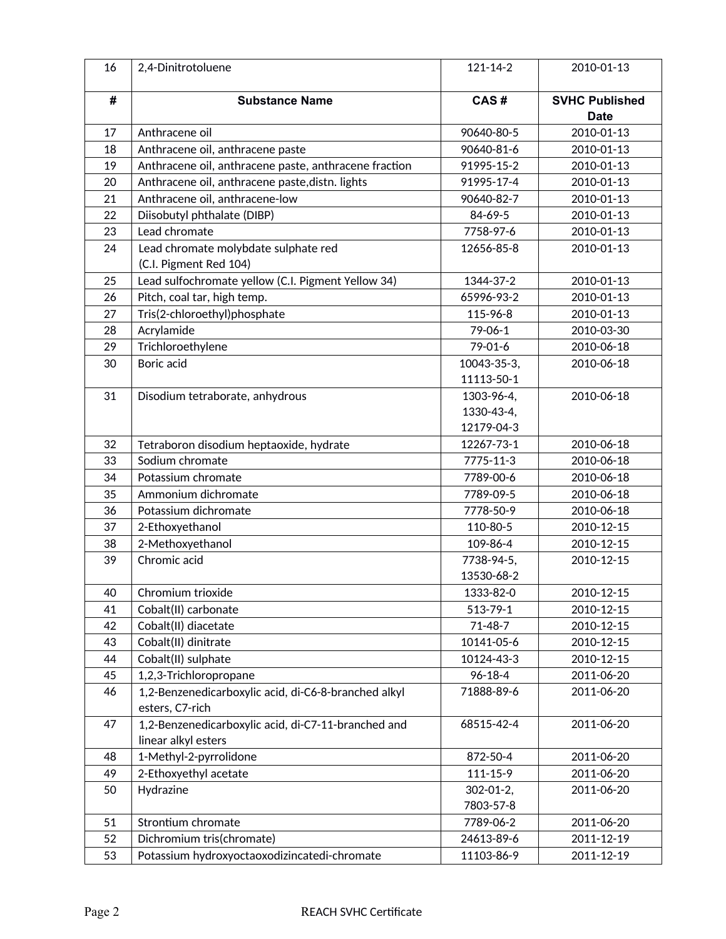| 16 | 2,4-Dinitrotoluene                                    | $121 - 14 - 2$         | 2010-01-13                           |
|----|-------------------------------------------------------|------------------------|--------------------------------------|
| #  | <b>Substance Name</b>                                 | CAS#                   | <b>SVHC Published</b><br><b>Date</b> |
| 17 | Anthracene oil                                        | 90640-80-5             | 2010-01-13                           |
| 18 | Anthracene oil, anthracene paste                      | 90640-81-6             | 2010-01-13                           |
| 19 | Anthracene oil, anthracene paste, anthracene fraction | 91995-15-2             | 2010-01-13                           |
| 20 | Anthracene oil, anthracene paste, distn. lights       | 91995-17-4             | 2010-01-13                           |
| 21 | Anthracene oil, anthracene-low                        | 90640-82-7             | 2010-01-13                           |
| 22 | Diisobutyl phthalate (DIBP)                           | 84-69-5                | 2010-01-13                           |
| 23 | Lead chromate                                         | 7758-97-6              | 2010-01-13                           |
| 24 | Lead chromate molybdate sulphate red                  | 12656-85-8             | 2010-01-13                           |
|    | (C.I. Pigment Red 104)                                |                        |                                      |
| 25 | Lead sulfochromate yellow (C.I. Pigment Yellow 34)    | 1344-37-2              | 2010-01-13                           |
| 26 | Pitch, coal tar, high temp.                           | 65996-93-2             | 2010-01-13                           |
| 27 | Tris(2-chloroethyl)phosphate                          | 115-96-8               | 2010-01-13                           |
| 28 | Acrylamide                                            | $79 - 06 - 1$          | 2010-03-30                           |
| 29 | Trichloroethylene                                     | 79-01-6                | 2010-06-18                           |
| 30 | Boric acid                                            | 10043-35-3,            | 2010-06-18                           |
|    |                                                       | 11113-50-1             |                                      |
| 31 | Disodium tetraborate, anhydrous                       | 1303-96-4,             | 2010-06-18                           |
|    |                                                       | 1330-43-4,             |                                      |
|    |                                                       | 12179-04-3             |                                      |
| 32 | Tetraboron disodium heptaoxide, hydrate               | 12267-73-1             | 2010-06-18                           |
| 33 | Sodium chromate                                       | 7775-11-3              | 2010-06-18                           |
| 34 | Potassium chromate                                    | 7789-00-6              | 2010-06-18                           |
| 35 | Ammonium dichromate                                   | 7789-09-5              | 2010-06-18                           |
| 36 | Potassium dichromate                                  | 7778-50-9              | 2010-06-18                           |
| 37 | 2-Ethoxyethanol                                       | 110-80-5               | 2010-12-15                           |
| 38 | 2-Methoxyethanol                                      | 109-86-4               | 2010-12-15                           |
| 39 | Chromic acid                                          | 7738-94-5,             | 2010-12-15                           |
|    |                                                       | 13530-68-2             |                                      |
| 40 | Chromium trioxide                                     | 1333-82-0              | 2010-12-15                           |
| 41 | Cobalt(II) carbonate                                  | 513-79-1               | 2010-12-15                           |
| 42 | Cobalt(II) diacetate                                  | $71 - 48 - 7$          | 2010-12-15                           |
| 43 | Cobalt(II) dinitrate                                  | 10141-05-6             | 2010-12-15                           |
| 44 | Cobalt(II) sulphate                                   | 10124-43-3             | 2010-12-15                           |
| 45 | 1,2,3-Trichloropropane                                | $96 - 18 - 4$          | 2011-06-20                           |
| 46 | 1,2-Benzenedicarboxylic acid, di-C6-8-branched alkyl  | 71888-89-6             | 2011-06-20                           |
|    | esters, C7-rich                                       |                        |                                      |
| 47 | 1,2-Benzenedicarboxylic acid, di-C7-11-branched and   | 68515-42-4             | 2011-06-20                           |
|    | linear alkyl esters                                   |                        |                                      |
| 48 | 1-Methyl-2-pyrrolidone                                | 872-50-4               | 2011-06-20                           |
| 49 | 2-Ethoxyethyl acetate                                 | $111 - 15 - 9$         | 2011-06-20                           |
| 50 | Hydrazine                                             | $302 - 01 - 2$ ,       | 2011-06-20                           |
| 51 | Strontium chromate                                    | 7803-57-8<br>7789-06-2 | 2011-06-20                           |
| 52 | Dichromium tris(chromate)                             | 24613-89-6             | 2011-12-19                           |
|    |                                                       |                        |                                      |
| 53 | Potassium hydroxyoctaoxodizincatedi-chromate          | 11103-86-9             | 2011-12-19                           |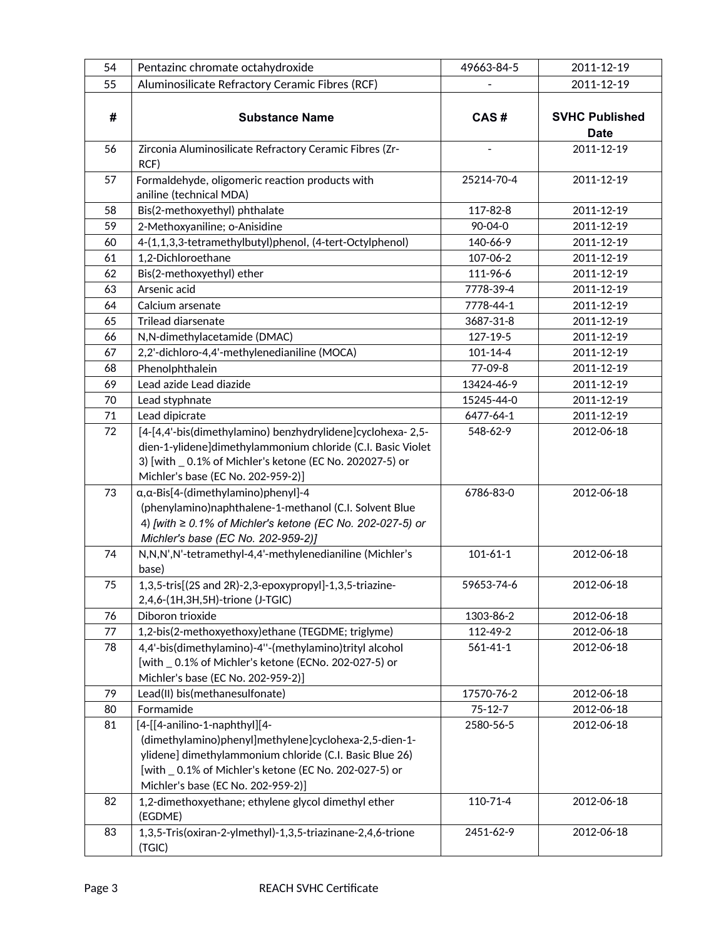| 54 | Pentazinc chromate octahydroxide                                                                                | 49663-84-5            | 2011-12-19            |
|----|-----------------------------------------------------------------------------------------------------------------|-----------------------|-----------------------|
| 55 | Aluminosilicate Refractory Ceramic Fibres (RCF)                                                                 |                       | 2011-12-19            |
|    |                                                                                                                 |                       |                       |
| #  | <b>Substance Name</b>                                                                                           | CAS#                  | <b>SVHC Published</b> |
|    |                                                                                                                 |                       | <b>Date</b>           |
| 56 | Zirconia Aluminosilicate Refractory Ceramic Fibres (Zr-                                                         |                       | 2011-12-19            |
|    | RCF)                                                                                                            |                       |                       |
| 57 | Formaldehyde, oligomeric reaction products with                                                                 | 25214-70-4            | 2011-12-19            |
|    | aniline (technical MDA)                                                                                         |                       |                       |
| 58 | Bis(2-methoxyethyl) phthalate                                                                                   | 117-82-8              | 2011-12-19            |
| 59 | 2-Methoxyaniline; o-Anisidine                                                                                   | 90-04-0               | 2011-12-19            |
| 60 | 4-(1,1,3,3-tetramethylbutyl)phenol, (4-tert-Octylphenol)                                                        | 140-66-9              | 2011-12-19            |
| 61 | 1,2-Dichloroethane                                                                                              | 107-06-2              | 2011-12-19            |
| 62 | Bis(2-methoxyethyl) ether                                                                                       | 111-96-6              | 2011-12-19            |
| 63 | Arsenic acid                                                                                                    | 7778-39-4             | 2011-12-19            |
| 64 | Calcium arsenate                                                                                                | 7778-44-1             | 2011-12-19            |
| 65 | Trilead diarsenate                                                                                              | 3687-31-8             | 2011-12-19            |
| 66 | N,N-dimethylacetamide (DMAC)                                                                                    | 127-19-5              | 2011-12-19            |
| 67 | 2,2'-dichloro-4,4'-methylenedianiline (MOCA)                                                                    | $101 - 14 - 4$        | 2011-12-19            |
| 68 | Phenolphthalein                                                                                                 | 77-09-8               | 2011-12-19            |
| 69 | Lead azide Lead diazide                                                                                         | 13424-46-9            | 2011-12-19            |
| 70 | Lead styphnate                                                                                                  | 15245-44-0            | 2011-12-19            |
| 71 | Lead dipicrate                                                                                                  | 6477-64-1             | 2011-12-19            |
| 72 | [4-[4,4'-bis(dimethylamino) benzhydrylidene]cyclohexa-2,5-                                                      | 548-62-9              | 2012-06-18            |
|    | dien-1-ylidene]dimethylammonium chloride (C.I. Basic Violet                                                     |                       |                       |
|    | 3) [with _ 0.1% of Michler's ketone (EC No. 202027-5) or                                                        |                       |                       |
|    | Michler's base (EC No. 202-959-2)]                                                                              |                       |                       |
| 73 | a, a-Bis[4-(dimethylamino)phenyl]-4                                                                             | 6786-83-0             | 2012-06-18            |
|    | (phenylamino)naphthalene-1-methanol (C.I. Solvent Blue                                                          |                       |                       |
|    | 4) [with $\geq$ 0.1% of Michler's ketone (EC No. 202-027-5) or                                                  |                       |                       |
|    | Michler's base (EC No. 202-959-2)]                                                                              |                       |                       |
| 74 | N,N,N',N'-tetramethyl-4,4'-methylenedianiline (Michler's                                                        | $101 - 61 - 1$        | 2012-06-18            |
|    | base)                                                                                                           |                       |                       |
| 75 | 1,3,5-tris[(2S and 2R)-2,3-epoxypropyl]-1,3,5-triazine-                                                         | 59653-74-6            | 2012-06-18            |
|    | 2,4,6-(1H,3H,5H)-trione (J-TGIC)<br>Diboron trioxide                                                            |                       |                       |
| 76 |                                                                                                                 | 1303-86-2<br>112-49-2 | 2012-06-18            |
| 77 | 1,2-bis(2-methoxyethoxy)ethane (TEGDME; triglyme)                                                               |                       | 2012-06-18            |
| 78 | 4,4'-bis(dimethylamino)-4"-(methylamino)trityl alcohol<br>[with _ 0.1% of Michler's ketone (ECNo. 202-027-5) or | $561 - 41 - 1$        | 2012-06-18            |
|    | Michler's base (EC No. 202-959-2)]                                                                              |                       |                       |
| 79 | Lead(II) bis(methanesulfonate)                                                                                  | 17570-76-2            | 2012-06-18            |
| 80 | Formamide                                                                                                       | $75 - 12 - 7$         | 2012-06-18            |
| 81 | [4-[[4-anilino-1-naphthyl][4-                                                                                   | 2580-56-5             | 2012-06-18            |
|    | (dimethylamino)phenyl]methylene]cyclohexa-2,5-dien-1-                                                           |                       |                       |
|    | ylidene] dimethylammonium chloride (C.I. Basic Blue 26)                                                         |                       |                       |
|    | [with _ 0.1% of Michler's ketone (EC No. 202-027-5) or                                                          |                       |                       |
|    | Michler's base (EC No. 202-959-2)]                                                                              |                       |                       |
| 82 | 1,2-dimethoxyethane; ethylene glycol dimethyl ether                                                             | 110-71-4              | 2012-06-18            |
|    | (EGDME)                                                                                                         |                       |                       |
| 83 | 1,3,5-Tris(oxiran-2-ylmethyl)-1,3,5-triazinane-2,4,6-trione                                                     | 2451-62-9             | 2012-06-18            |
|    | (TGIC)                                                                                                          |                       |                       |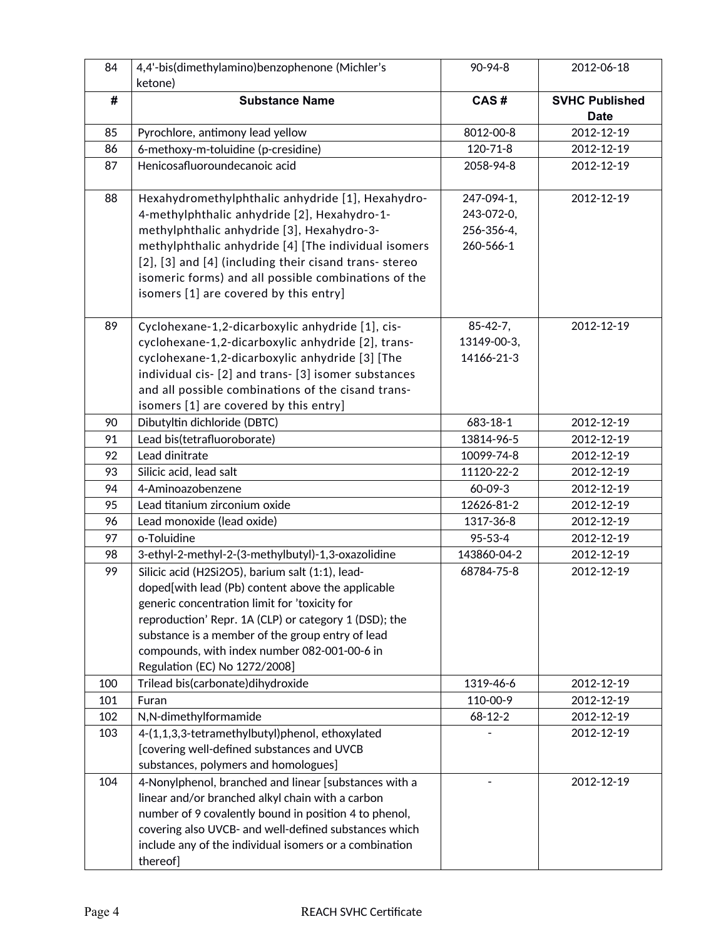| 84  | 4,4'-bis(dimethylamino)benzophenone (Michler's         | $90 - 94 - 8$  | 2012-06-18                           |
|-----|--------------------------------------------------------|----------------|--------------------------------------|
|     | ketone)                                                |                |                                      |
| #   | <b>Substance Name</b>                                  | CAS#           | <b>SVHC Published</b><br><b>Date</b> |
| 85  | Pyrochlore, antimony lead yellow                       | 8012-00-8      | 2012-12-19                           |
| 86  | 6-methoxy-m-toluidine (p-cresidine)                    | $120 - 71 - 8$ | 2012-12-19                           |
|     |                                                        |                |                                      |
| 87  | Henicosafluoroundecanoic acid                          | 2058-94-8      | 2012-12-19                           |
| 88  | Hexahydromethylphthalic anhydride [1], Hexahydro-      | 247-094-1,     | 2012-12-19                           |
|     | 4-methylphthalic anhydride [2], Hexahydro-1-           | 243-072-0,     |                                      |
|     | methylphthalic anhydride [3], Hexahydro-3-             | 256-356-4,     |                                      |
|     | methylphthalic anhydride [4] [The individual isomers   | 260-566-1      |                                      |
|     | [2], [3] and [4] (including their cisand trans-stereo  |                |                                      |
|     | isomeric forms) and all possible combinations of the   |                |                                      |
|     | isomers [1] are covered by this entry]                 |                |                                      |
| 89  | Cyclohexane-1,2-dicarboxylic anhydride [1], cis-       | $85 - 42 - 7,$ | 2012-12-19                           |
|     | cyclohexane-1,2-dicarboxylic anhydride [2], trans-     | 13149-00-3,    |                                      |
|     | cyclohexane-1,2-dicarboxylic anhydride [3] [The        | 14166-21-3     |                                      |
|     | individual cis- [2] and trans- [3] isomer substances   |                |                                      |
|     | and all possible combinations of the cisand trans-     |                |                                      |
|     | isomers [1] are covered by this entry]                 |                |                                      |
| 90  | Dibutyltin dichloride (DBTC)                           | 683-18-1       | 2012-12-19                           |
| 91  | Lead bis(tetrafluoroborate)                            | 13814-96-5     | 2012-12-19                           |
| 92  | Lead dinitrate                                         | 10099-74-8     | 2012-12-19                           |
| 93  | Silicic acid, lead salt                                | 11120-22-2     | 2012-12-19                           |
| 94  | 4-Aminoazobenzene                                      | 60-09-3        | 2012-12-19                           |
| 95  | Lead titanium zirconium oxide                          | 12626-81-2     | 2012-12-19                           |
| 96  | Lead monoxide (lead oxide)                             | 1317-36-8      | 2012-12-19                           |
| 97  | o-Toluidine                                            | 95-53-4        | 2012-12-19                           |
| 98  | 3-ethyl-2-methyl-2-(3-methylbutyl)-1,3-oxazolidine     | 143860-04-2    | 2012-12-19                           |
| 99  | Silicic acid (H2Si2O5), barium salt (1:1), lead-       | 68784-75-8     | 2012-12-19                           |
|     | doped[with lead (Pb) content above the applicable      |                |                                      |
|     | generic concentration limit for 'toxicity for          |                |                                      |
|     | reproduction' Repr. 1A (CLP) or category 1 (DSD); the  |                |                                      |
|     | substance is a member of the group entry of lead       |                |                                      |
|     | compounds, with index number 082-001-00-6 in           |                |                                      |
|     | Regulation (EC) No 1272/2008]                          |                |                                      |
| 100 | Trilead bis(carbonate) dihy droxide                    | 1319-46-6      | 2012-12-19                           |
| 101 | Furan                                                  | 110-00-9       | 2012-12-19                           |
| 102 | N,N-dimethylformamide                                  | $68 - 12 - 2$  | 2012-12-19                           |
| 103 | 4-(1,1,3,3-tetramethylbutyl)phenol, ethoxylated        |                | 2012-12-19                           |
|     | [covering well-defined substances and UVCB             |                |                                      |
|     | substances, polymers and homologues]                   |                |                                      |
| 104 | 4-Nonylphenol, branched and linear [substances with a  |                | 2012-12-19                           |
|     | linear and/or branched alkyl chain with a carbon       |                |                                      |
|     | number of 9 covalently bound in position 4 to phenol,  |                |                                      |
|     | covering also UVCB- and well-defined substances which  |                |                                      |
|     | include any of the individual isomers or a combination |                |                                      |
|     | thereof]                                               |                |                                      |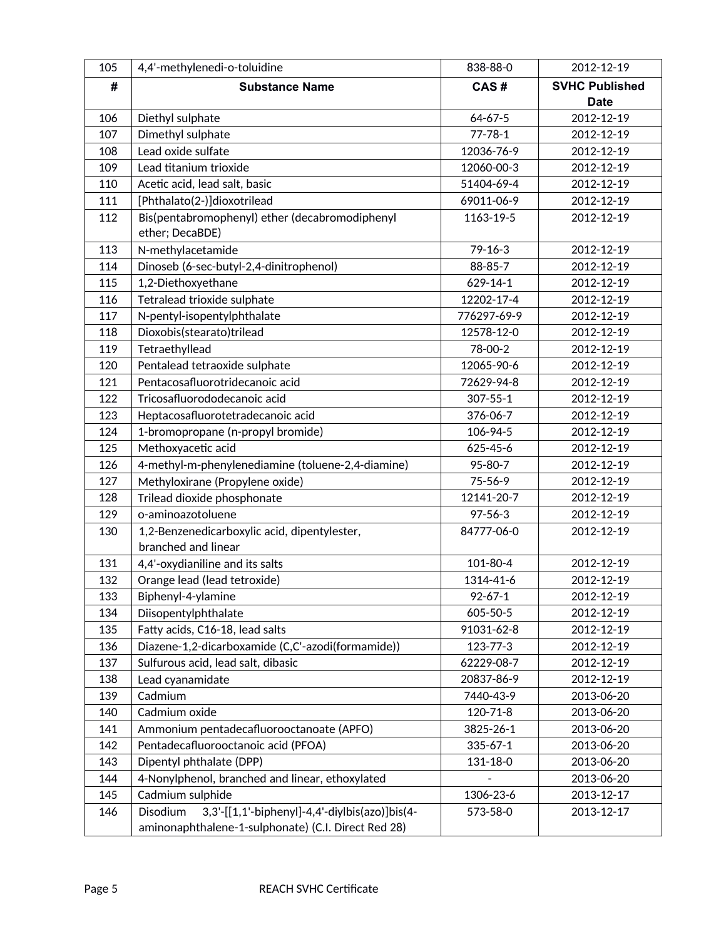| 105 | 4,4'-methylenedi-o-toluidine                                                                                      | 838-88-0       | 2012-12-19            |
|-----|-------------------------------------------------------------------------------------------------------------------|----------------|-----------------------|
| #   | <b>Substance Name</b>                                                                                             | CAS#           | <b>SVHC Published</b> |
|     |                                                                                                                   |                | <b>Date</b>           |
| 106 | Diethyl sulphate                                                                                                  | $64 - 67 - 5$  | 2012-12-19            |
| 107 | Dimethyl sulphate                                                                                                 | $77 - 78 - 1$  | 2012-12-19            |
| 108 | Lead oxide sulfate                                                                                                | 12036-76-9     | 2012-12-19            |
| 109 | Lead titanium trioxide                                                                                            | 12060-00-3     | 2012-12-19            |
| 110 | Acetic acid, lead salt, basic                                                                                     | 51404-69-4     | 2012-12-19            |
| 111 | [Phthalato(2-)]dioxotrilead                                                                                       | 69011-06-9     | 2012-12-19            |
| 112 | Bis(pentabromophenyl) ether (decabromodiphenyl                                                                    | 1163-19-5      | 2012-12-19            |
|     | ether; DecaBDE)                                                                                                   |                |                       |
| 113 | N-methylacetamide                                                                                                 | $79 - 16 - 3$  | 2012-12-19            |
| 114 | Dinoseb (6-sec-butyl-2,4-dinitrophenol)                                                                           | 88-85-7        | 2012-12-19            |
| 115 | 1,2-Diethoxyethane                                                                                                | $629 - 14 - 1$ | 2012-12-19            |
| 116 | Tetralead trioxide sulphate                                                                                       | 12202-17-4     | 2012-12-19            |
| 117 | N-pentyl-isopentylphthalate                                                                                       | 776297-69-9    | 2012-12-19            |
| 118 | Dioxobis(stearato)trilead                                                                                         | 12578-12-0     | 2012-12-19            |
| 119 | Tetraethyllead                                                                                                    | 78-00-2        | 2012-12-19            |
| 120 | Pentalead tetraoxide sulphate                                                                                     | 12065-90-6     | 2012-12-19            |
| 121 | Pentacosafluorotridecanoic acid                                                                                   | 72629-94-8     | 2012-12-19            |
| 122 | Tricosafluorododecanoic acid                                                                                      | $307 - 55 - 1$ | 2012-12-19            |
| 123 | Heptacosafluorotetradecanoic acid                                                                                 | 376-06-7       | 2012-12-19            |
| 124 | 1-bromopropane (n-propyl bromide)                                                                                 | 106-94-5       | 2012-12-19            |
| 125 | Methoxyacetic acid                                                                                                | 625-45-6       | 2012-12-19            |
| 126 | 4-methyl-m-phenylenediamine (toluene-2,4-diamine)                                                                 | 95-80-7        | 2012-12-19            |
| 127 | Methyloxirane (Propylene oxide)                                                                                   | 75-56-9        | 2012-12-19            |
| 128 | Trilead dioxide phosphonate                                                                                       | 12141-20-7     | 2012-12-19            |
| 129 | o-aminoazotoluene                                                                                                 | $97 - 56 - 3$  | 2012-12-19            |
| 130 | 1,2-Benzenedicarboxylic acid, dipentylester,<br>branched and linear                                               | 84777-06-0     | 2012-12-19            |
| 131 | 4,4'-oxydianiline and its salts                                                                                   | 101-80-4       | 2012-12-19            |
| 132 | Orange lead (lead tetroxide)                                                                                      | 1314-41-6      | 2012-12-19            |
| 133 | Biphenyl-4-ylamine                                                                                                | $92 - 67 - 1$  | 2012-12-19            |
| 134 | Diisopentylphthalate                                                                                              | 605-50-5       | 2012-12-19            |
| 135 | Fatty acids, C16-18, lead salts                                                                                   | 91031-62-8     | 2012-12-19            |
| 136 | Diazene-1,2-dicarboxamide (C,C'-azodi(formamide))                                                                 | 123-77-3       | 2012-12-19            |
| 137 | Sulfurous acid, lead salt, dibasic                                                                                | 62229-08-7     | 2012-12-19            |
| 138 | Lead cyanamidate                                                                                                  | 20837-86-9     | 2012-12-19            |
| 139 | Cadmium                                                                                                           | 7440-43-9      | 2013-06-20            |
| 140 | Cadmium oxide                                                                                                     | 120-71-8       | 2013-06-20            |
| 141 | Ammonium pentadecafluorooctanoate (APFO)                                                                          | 3825-26-1      | 2013-06-20            |
| 142 | Pentadecafluorooctanoic acid (PFOA)                                                                               | $335 - 67 - 1$ | 2013-06-20            |
| 143 | Dipentyl phthalate (DPP)                                                                                          | 131-18-0       | 2013-06-20            |
| 144 | 4-Nonylphenol, branched and linear, ethoxylated                                                                   |                | 2013-06-20            |
| 145 | Cadmium sulphide                                                                                                  | 1306-23-6      | 2013-12-17            |
| 146 | 3,3'-[[1,1'-biphenyl]-4,4'-diylbis(azo)]bis(4-<br>Disodium<br>aminonaphthalene-1-sulphonate) (C.I. Direct Red 28) | 573-58-0       | 2013-12-17            |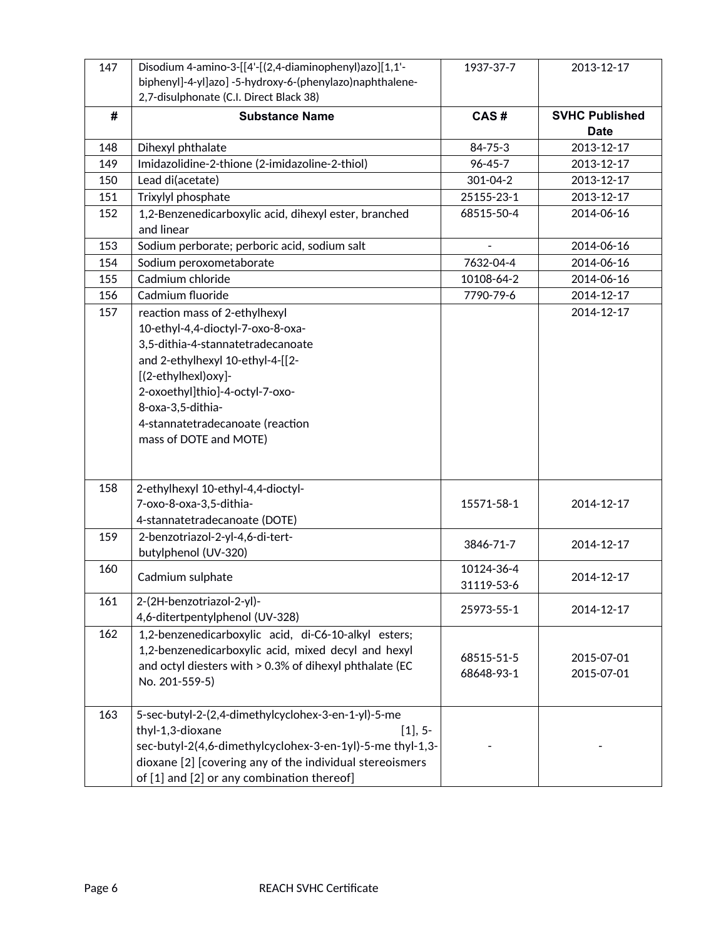| 147 | Disodium 4-amino-3-[[4'-[(2,4-diaminophenyl)azo][1,1'-<br>biphenyl]-4-yl]azo] -5-hydroxy-6-(phenylazo)naphthalene-<br>2,7-disulphonate (C.I. Direct Black 38)                                                                                                                            | 1937-37-7                | 2013-12-17               |
|-----|------------------------------------------------------------------------------------------------------------------------------------------------------------------------------------------------------------------------------------------------------------------------------------------|--------------------------|--------------------------|
| #   | <b>Substance Name</b>                                                                                                                                                                                                                                                                    | CAS#                     | <b>SVHC Published</b>    |
|     |                                                                                                                                                                                                                                                                                          |                          | <b>Date</b>              |
| 148 | Dihexyl phthalate                                                                                                                                                                                                                                                                        | 84-75-3                  | 2013-12-17               |
| 149 | Imidazolidine-2-thione (2-imidazoline-2-thiol)                                                                                                                                                                                                                                           | $96 - 45 - 7$            | 2013-12-17               |
| 150 | Lead di(acetate)                                                                                                                                                                                                                                                                         | 301-04-2                 | 2013-12-17               |
| 151 | Trixylyl phosphate                                                                                                                                                                                                                                                                       | 25155-23-1               | 2013-12-17               |
| 152 | 1,2-Benzenedicarboxylic acid, dihexyl ester, branched<br>and linear                                                                                                                                                                                                                      | 68515-50-4               | 2014-06-16               |
| 153 | Sodium perborate; perboric acid, sodium salt                                                                                                                                                                                                                                             |                          | 2014-06-16               |
| 154 | Sodium peroxometaborate                                                                                                                                                                                                                                                                  | 7632-04-4                | 2014-06-16               |
| 155 | Cadmium chloride                                                                                                                                                                                                                                                                         | 10108-64-2               | 2014-06-16               |
| 156 | Cadmium fluoride                                                                                                                                                                                                                                                                         | 7790-79-6                | 2014-12-17               |
| 157 | reaction mass of 2-ethylhexyl<br>10-ethyl-4,4-dioctyl-7-oxo-8-oxa-<br>3,5-dithia-4-stannatetradecanoate<br>and 2-ethylhexyl 10-ethyl-4-[[2-<br>[(2-ethylhexl)oxy]-<br>2-oxoethyl]thio]-4-octyl-7-oxo-<br>8-oxa-3,5-dithia-<br>4-stannatetradecanoate (reaction<br>mass of DOTE and MOTE) |                          | 2014-12-17               |
| 158 | 2-ethylhexyl 10-ethyl-4,4-dioctyl-<br>7-oxo-8-oxa-3,5-dithia-<br>4-stannatetradecanoate (DOTE)                                                                                                                                                                                           | 15571-58-1               | 2014-12-17               |
| 159 | 2-benzotriazol-2-yl-4,6-di-tert-<br>butylphenol (UV-320)                                                                                                                                                                                                                                 | 3846-71-7                | 2014-12-17               |
| 160 | Cadmium sulphate                                                                                                                                                                                                                                                                         | 10124-36-4<br>31119-53-6 | 2014-12-17               |
| 161 | 2-(2H-benzotriazol-2-yl)-<br>4,6-ditertpentylphenol (UV-328)                                                                                                                                                                                                                             | 25973-55-1               | 2014-12-17               |
| 162 | 1,2-benzenedicarboxylic acid, di-C6-10-alkyl esters;<br>1,2-benzenedicarboxylic acid, mixed decyl and hexyl<br>and octyl diesters with > 0.3% of dihexyl phthalate (EC<br>No. 201-559-5)                                                                                                 | 68515-51-5<br>68648-93-1 | 2015-07-01<br>2015-07-01 |
| 163 | 5-sec-butyl-2-(2,4-dimethylcyclohex-3-en-1-yl)-5-me<br>thyl-1,3-dioxane<br>$[1], 5-$<br>sec-butyl-2(4,6-dimethylcyclohex-3-en-1yl)-5-me thyl-1,3-<br>dioxane [2] [covering any of the individual stereoismers<br>of [1] and [2] or any combination thereof]                              |                          |                          |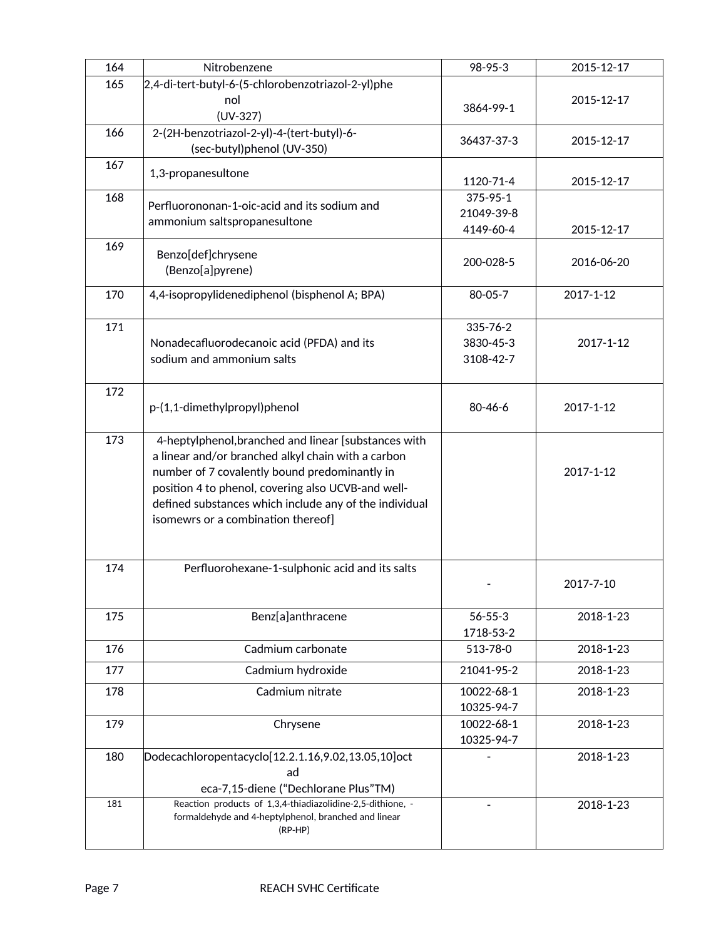| 164 | Nitrobenzene                                                                                       | 98-95-3       | 2015-12-17 |
|-----|----------------------------------------------------------------------------------------------------|---------------|------------|
| 165 | 2,4-di-tert-butyl-6-(5-chlorobenzotriazol-2-yl)phe                                                 |               |            |
|     | nol                                                                                                |               | 2015-12-17 |
|     | $(UV-327)$                                                                                         | 3864-99-1     |            |
| 166 | 2-(2H-benzotriazol-2-yl)-4-(tert-butyl)-6-                                                         |               |            |
|     | (sec-butyl)phenol (UV-350)                                                                         | 36437-37-3    | 2015-12-17 |
| 167 |                                                                                                    |               |            |
|     | 1,3-propanesultone                                                                                 | 1120-71-4     | 2015-12-17 |
| 168 |                                                                                                    | 375-95-1      |            |
|     | Perfluorononan-1-oic-acid and its sodium and                                                       | 21049-39-8    |            |
|     | ammonium saltspropanesultone                                                                       | 4149-60-4     | 2015-12-17 |
| 169 |                                                                                                    |               |            |
|     | Benzo[def]chrysene                                                                                 | 200-028-5     | 2016-06-20 |
|     | (Benzo[a]pyrene)                                                                                   |               |            |
| 170 | 4,4-isopropylidenediphenol (bisphenol A; BPA)                                                      | 80-05-7       | 2017-1-12  |
|     |                                                                                                    |               |            |
| 171 |                                                                                                    | 335-76-2      |            |
|     | Nonadecafluorodecanoic acid (PFDA) and its                                                         | 3830-45-3     | 2017-1-12  |
|     | sodium and ammonium salts                                                                          | 3108-42-7     |            |
|     |                                                                                                    |               |            |
| 172 |                                                                                                    |               |            |
|     | p-(1,1-dimethylpropyl)phenol                                                                       | $80 - 46 - 6$ | 2017-1-12  |
|     |                                                                                                    |               |            |
| 173 | 4-heptylphenol, branched and linear [substances with                                               |               |            |
|     | a linear and/or branched alkyl chain with a carbon                                                 |               |            |
|     | number of 7 covalently bound predominantly in                                                      |               | 2017-1-12  |
|     | position 4 to phenol, covering also UCVB-and well-                                                 |               |            |
|     | defined substances which include any of the individual                                             |               |            |
|     | isomewrs or a combination thereof]                                                                 |               |            |
|     |                                                                                                    |               |            |
|     |                                                                                                    |               |            |
| 174 | Perfluorohexane-1-sulphonic acid and its salts                                                     |               |            |
|     |                                                                                                    |               | 2017-7-10  |
|     |                                                                                                    |               |            |
| 175 | Benz[a]anthracene                                                                                  | $56 - 55 - 3$ | 2018-1-23  |
|     |                                                                                                    | 1718-53-2     |            |
| 176 | Cadmium carbonate                                                                                  | 513-78-0      | 2018-1-23  |
| 177 | Cadmium hydroxide                                                                                  | 21041-95-2    | 2018-1-23  |
| 178 | Cadmium nitrate                                                                                    | 10022-68-1    | 2018-1-23  |
|     |                                                                                                    | 10325-94-7    |            |
| 179 | Chrysene                                                                                           | 10022-68-1    | 2018-1-23  |
|     |                                                                                                    | 10325-94-7    |            |
|     | Dodecachloropentacyclo[12.2.1.16,9.02,13.05,10]oct                                                 |               |            |
| 180 | ad                                                                                                 |               | 2018-1-23  |
|     |                                                                                                    |               |            |
| 181 | eca-7,15-diene ("Dechlorane Plus"TM)<br>Reaction products of 1,3,4-thiadiazolidine-2,5-dithione, - |               |            |
|     | formaldehyde and 4-heptylphenol, branched and linear                                               |               | 2018-1-23  |
|     | (RP-HP)                                                                                            |               |            |
|     |                                                                                                    |               |            |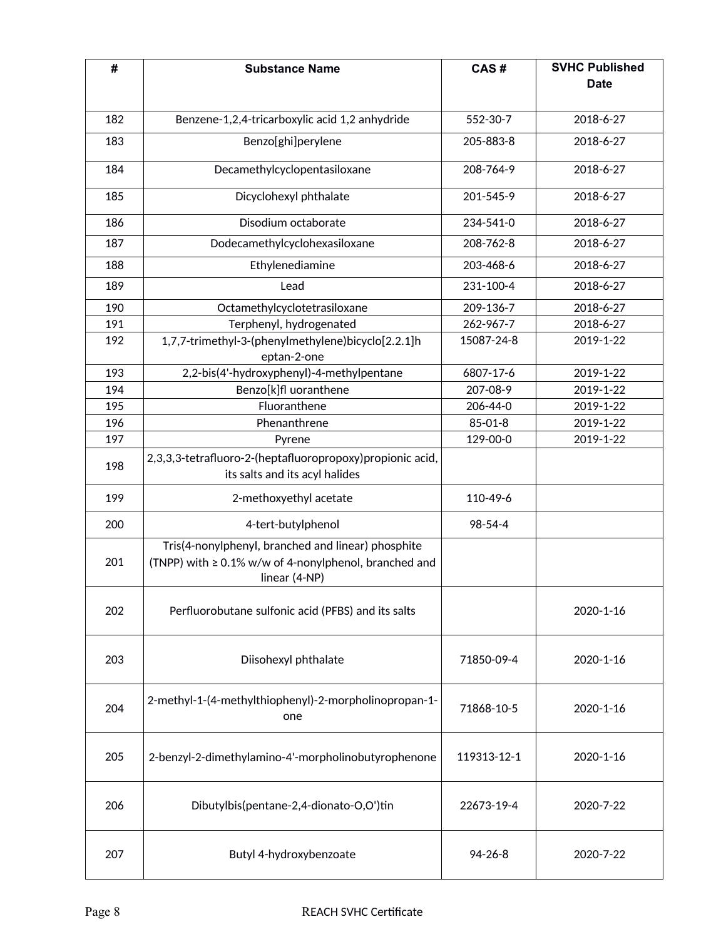| #   | <b>Substance Name</b>                                                                                                              | CAS#          | <b>SVHC Published</b><br><b>Date</b> |
|-----|------------------------------------------------------------------------------------------------------------------------------------|---------------|--------------------------------------|
|     |                                                                                                                                    |               |                                      |
| 182 | Benzene-1,2,4-tricarboxylic acid 1,2 anhydride                                                                                     | 552-30-7      | 2018-6-27                            |
| 183 | Benzo[ghi]perylene                                                                                                                 | 205-883-8     | 2018-6-27                            |
| 184 | Decamethylcyclopentasiloxane                                                                                                       | 208-764-9     | 2018-6-27                            |
| 185 | Dicyclohexyl phthalate                                                                                                             | 201-545-9     | 2018-6-27                            |
| 186 | Disodium octaborate                                                                                                                | 234-541-0     | 2018-6-27                            |
| 187 | Dodecamethylcyclohexasiloxane                                                                                                      | 208-762-8     | 2018-6-27                            |
| 188 | Ethylenediamine                                                                                                                    | 203-468-6     | 2018-6-27                            |
| 189 | Lead                                                                                                                               | 231-100-4     | 2018-6-27                            |
| 190 | Octamethylcyclotetrasiloxane                                                                                                       | 209-136-7     | 2018-6-27                            |
| 191 | Terphenyl, hydrogenated                                                                                                            | 262-967-7     | 2018-6-27                            |
| 192 | 1,7,7-trimethyl-3-(phenylmethylene)bicyclo[2.2.1]h<br>eptan-2-one                                                                  | 15087-24-8    | 2019-1-22                            |
| 193 | 2,2-bis(4'-hydroxyphenyl)-4-methylpentane                                                                                          | 6807-17-6     | 2019-1-22                            |
| 194 | Benzo[k]fl uoranthene                                                                                                              | 207-08-9      | 2019-1-22                            |
| 195 | Fluoranthene                                                                                                                       | 206-44-0      | 2019-1-22                            |
| 196 | Phenanthrene                                                                                                                       | $85 - 01 - 8$ | 2019-1-22                            |
| 197 | Pyrene                                                                                                                             | 129-00-0      | 2019-1-22                            |
| 198 | 2,3,3,3-tetrafluoro-2-(heptafluoropropoxy)propionic acid,<br>its salts and its acyl halides                                        |               |                                      |
| 199 | 2-methoxyethyl acetate                                                                                                             | 110-49-6      |                                      |
| 200 | 4-tert-butylphenol                                                                                                                 | 98-54-4       |                                      |
| 201 | Tris(4-nonylphenyl, branched and linear) phosphite<br>(TNPP) with $\geq 0.1\%$ w/w of 4-nonylphenol, branched and<br>linear (4-NP) |               |                                      |
| 202 | Perfluorobutane sulfonic acid (PFBS) and its salts                                                                                 |               | 2020-1-16                            |
| 203 | Diisohexyl phthalate                                                                                                               | 71850-09-4    | 2020-1-16                            |
| 204 | 2-methyl-1-(4-methylthiophenyl)-2-morpholinopropan-1-<br>one                                                                       | 71868-10-5    | 2020-1-16                            |
| 205 | 2-benzyl-2-dimethylamino-4'-morpholinobutyrophenone                                                                                | 119313-12-1   | 2020-1-16                            |
| 206 | Dibutylbis(pentane-2,4-dionato-O,O')tin                                                                                            | 22673-19-4    | 2020-7-22                            |
| 207 | Butyl 4-hydroxybenzoate                                                                                                            | $94 - 26 - 8$ | 2020-7-22                            |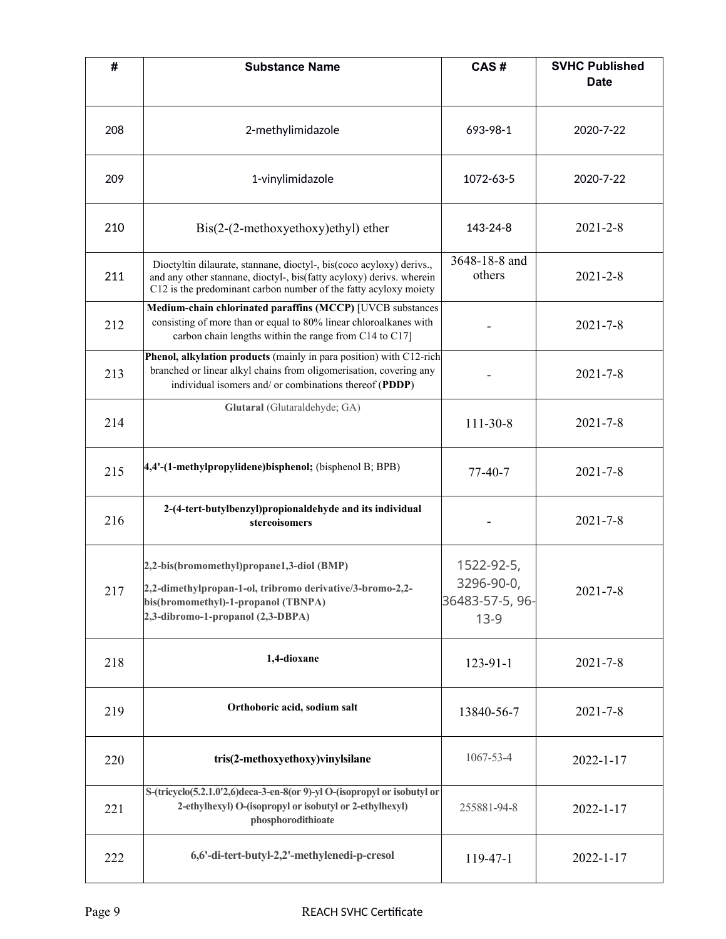| #   | <b>Substance Name</b>                                                                                                                                                                                            | CAS#                                                  | <b>SVHC Published</b><br><b>Date</b> |
|-----|------------------------------------------------------------------------------------------------------------------------------------------------------------------------------------------------------------------|-------------------------------------------------------|--------------------------------------|
| 208 | 2-methylimidazole                                                                                                                                                                                                | 693-98-1                                              | 2020-7-22                            |
| 209 | 1-vinylimidazole                                                                                                                                                                                                 | 1072-63-5                                             | 2020-7-22                            |
| 210 | $\text{Bis}(2-(2\text{-methoxyethoxy})\text{ethyl})$ ether                                                                                                                                                       | 143-24-8                                              | $2021 - 2 - 8$                       |
| 211 | Dioctyltin dilaurate, stannane, dioctyl-, bis(coco acyloxy) derivs.,<br>and any other stannane, dioctyl-, bis(fatty acyloxy) derivs. wherein<br>C12 is the predominant carbon number of the fatty acyloxy moiety | 3648-18-8 and<br>others                               | $2021 - 2 - 8$                       |
| 212 | Medium-chain chlorinated paraffins (MCCP) [UVCB substances<br>consisting of more than or equal to 80% linear chloroalkanes with<br>carbon chain lengths within the range from C14 to C17]                        |                                                       | $2021 - 7 - 8$                       |
| 213 | Phenol, alkylation products (mainly in para position) with C12-rich<br>branched or linear alkyl chains from oligomerisation, covering any<br>individual isomers and/ or combinations thereof (PDDP)              |                                                       | $2021 - 7 - 8$                       |
| 214 | Glutaral (Glutaraldehyde; GA)                                                                                                                                                                                    | $111-30-8$                                            | $2021 - 7 - 8$                       |
| 215 | 4,4'-(1-methylpropylidene)bisphenol; (bisphenol B; BPB)                                                                                                                                                          | $77-40-7$                                             | $2021 - 7 - 8$                       |
| 216 | 2-(4-tert-butylbenzyl)propionaldehyde and its individual<br>stereoisomers                                                                                                                                        |                                                       | $2021 - 7 - 8$                       |
| 217 | 2,2-bis(bromomethyl)propane1,3-diol (BMP)<br>2,2-dimethylpropan-1-ol, tribromo derivative/3-bromo-2,2-<br>bis(bromomethyl)-1-propanol (TBNPA)<br>2,3-dibromo-1-propanol (2,3-DBPA)                               | 1522-92-5,<br>3296-90-0,<br>36483-57-5, 96-<br>$13-9$ | $2021 - 7 - 8$                       |
| 218 | 1,4-dioxane                                                                                                                                                                                                      | $123 - 91 - 1$                                        | $2021 - 7 - 8$                       |
| 219 | Orthoboric acid, sodium salt                                                                                                                                                                                     | 13840-56-7                                            | $2021 - 7 - 8$                       |
| 220 | tris(2-methoxyethoxy)vinylsilane                                                                                                                                                                                 | 1067-53-4                                             | $2022 - 1 - 17$                      |
| 221 | S-(tricyclo(5.2.1.0'2,6)deca-3-en-8(or 9)-yl O-(isopropyl or isobutyl or<br>2-ethylhexyl) O-(isopropyl or isobutyl or 2-ethylhexyl)<br>phosphorodithioate                                                        | 255881-94-8                                           | $2022 - 1 - 17$                      |
| 222 | 6,6'-di-tert-butyl-2,2'-methylenedi-p-cresol                                                                                                                                                                     | 119-47-1                                              | $2022 - 1 - 17$                      |